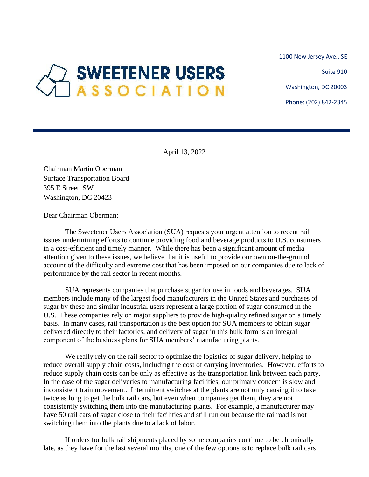1100 New Jersey Ave., SE

Suite 910

Washington, DC 20003

Phone: (202) 842-2345

## **SWEETENER USERS** ASSOCIATION

April 13, 2022

Chairman Martin Oberman Surface Transportation Board 395 E Street, SW Washington, DC 20423

Dear Chairman Oberman:

The Sweetener Users Association (SUA) requests your urgent attention to recent rail issues undermining efforts to continue providing food and beverage products to U.S. consumers in a cost-efficient and timely manner. While there has been a significant amount of media attention given to these issues, we believe that it is useful to provide our own on-the-ground account of the difficulty and extreme cost that has been imposed on our companies due to lack of performance by the rail sector in recent months.

SUA represents companies that purchase sugar for use in foods and beverages. SUA members include many of the largest food manufacturers in the United States and purchases of sugar by these and similar industrial users represent a large portion of sugar consumed in the U.S. These companies rely on major suppliers to provide high-quality refined sugar on a timely basis. In many cases, rail transportation is the best option for SUA members to obtain sugar delivered directly to their factories, and delivery of sugar in this bulk form is an integral component of the business plans for SUA members' manufacturing plants.

We really rely on the rail sector to optimize the logistics of sugar delivery, helping to reduce overall supply chain costs, including the cost of carrying inventories. However, efforts to reduce supply chain costs can be only as effective as the transportation link between each party. In the case of the sugar deliveries to manufacturing facilities, our primary concern is slow and inconsistent train movement. Intermittent switches at the plants are not only causing it to take twice as long to get the bulk rail cars, but even when companies get them, they are not consistently switching them into the manufacturing plants. For example, a manufacturer may have 50 rail cars of sugar close to their facilities and still run out because the railroad is not switching them into the plants due to a lack of labor.

If orders for bulk rail shipments placed by some companies continue to be chronically late, as they have for the last several months, one of the few options is to replace bulk rail cars